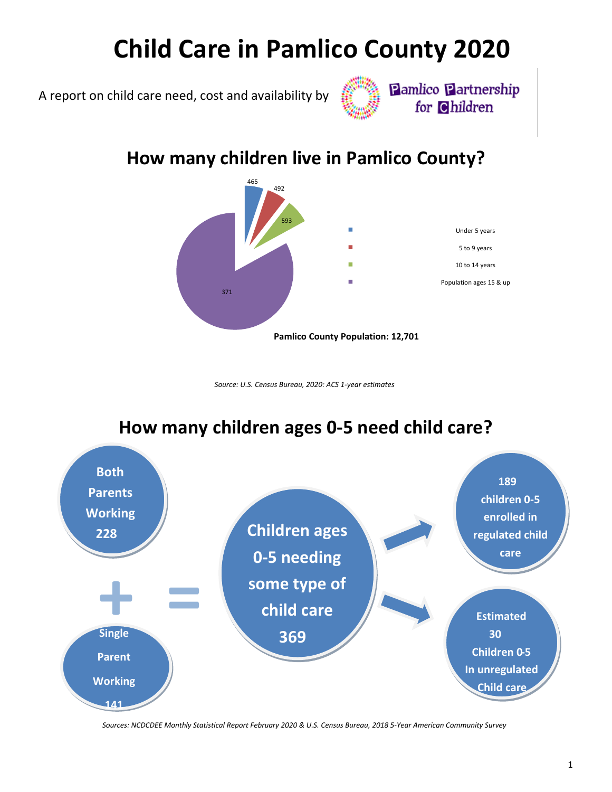# **Child Care in Pamlico County 2020**

A report on child care need, cost and availability by



**Pamlico Partnership** for Children

## **How many children live in Pamlico County?**



*Source: U.S. Census Bureau, 2020: ACS 1-year estimates*



**How many children ages 0-5 need child care?** 

*Sources: NCDCDEE Monthly Statistical Report February 2020 & U.S. Census Bureau, 2018 5-Year American Community Survey*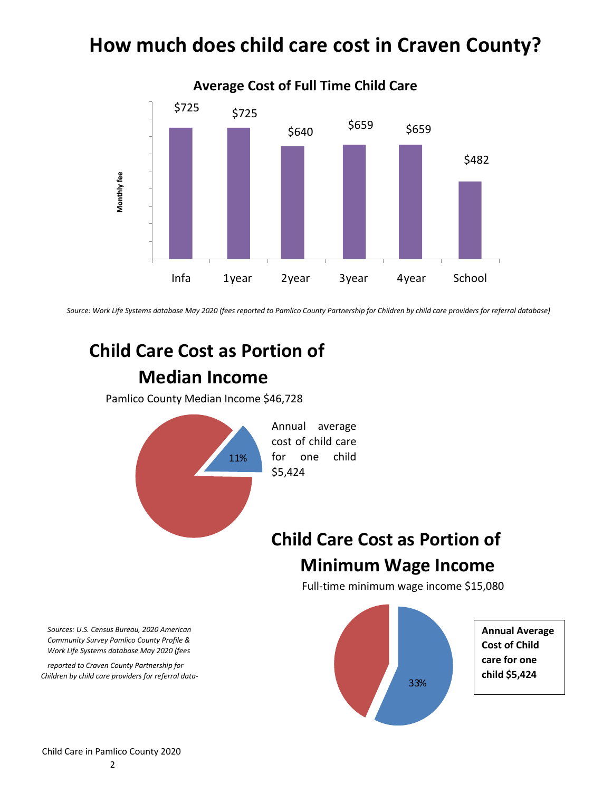## **How much does child care cost in Craven County?**



*Source: Work Life Systems database May 2020 (fees reported to Pamlico County Partnership for Children by child care providers for referral database)*

## **Child Care Cost as Portion of Median Income**

Pamlico County Median Income \$46,728



# **Child Care Cost as Portion of Minimum Wage Income**

Full-time minimum wage income \$15,080



*Sources: U.S. Census Bureau, 2020 American Community Survey Pamlico County Profile & Work Life Systems database May 2020 (fees* 

*reported to Craven County Partnership for Children by child care providers for referral data-*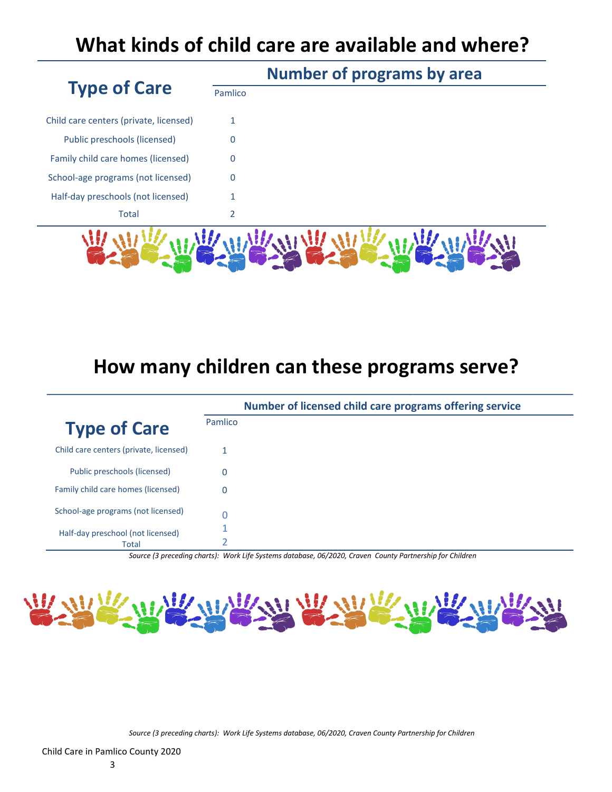## **What kinds of child care are available and where?**

|                                        | <b>Number of programs by area</b> |  |
|----------------------------------------|-----------------------------------|--|
| <b>Type of Care</b>                    | Pamlico                           |  |
| Child care centers (private, licensed) | 1                                 |  |
| Public preschools (licensed)           | 0                                 |  |
| Family child care homes (licensed)     | 0                                 |  |
| School-age programs (not licensed)     | 0                                 |  |
| Half-day preschools (not licensed)     |                                   |  |
| <b>Total</b>                           | 2                                 |  |
|                                        |                                   |  |
|                                        |                                   |  |
|                                        |                                   |  |

### **How many children can these programs serve?**

|                                            | Number of licensed child care programs offering service |  |
|--------------------------------------------|---------------------------------------------------------|--|
| <b>Type of Care</b>                        | Pamlico                                                 |  |
| Child care centers (private, licensed)     |                                                         |  |
| Public preschools (licensed)               | 0                                                       |  |
| Family child care homes (licensed)         | 0                                                       |  |
| School-age programs (not licensed)         |                                                         |  |
| Half-day preschool (not licensed)<br>Total |                                                         |  |

*Source (3 preceding charts): Work Life Systems database, 06/2020, Craven County Partnership for Children*



*Source (3 preceding charts): Work Life Systems database, 06/2020, Craven County Partnership for Children*

Child Care in Pamlico County 2020